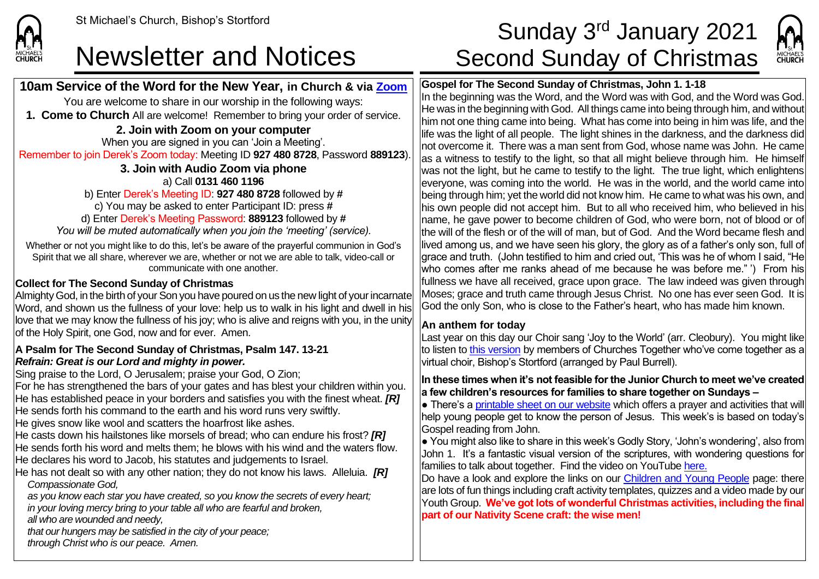

**10am Service of the Word for the New Year, in Church & via [Zoom](https://zoom.us/)** You are welcome to share in our worship in the following ways: **1. Come to Church** All are welcome! Remember to bring your order of service. **2. Join with Zoom on your computer** When you are signed in you can 'Join a Meeting'. Remember to join Derek's Zoom today: Meeting ID **927 480 8728**, Password **889123**). **3. Join with Audio Zoom via phone**  a) Call **0131 460 1196**

b) Enter Derek's Meeting ID: **927 480 8728** followed by **#** c) You may be asked to enter Participant ID: press **#** d) Enter Derek's Meeting Password: **889123** followed by **#** *You will be muted automatically when you join the 'meeting' (service).*

Whether or not you might like to do this, let's be aware of the prayerful communion in God's Spirit that we all share, wherever we are, whether or not we are able to talk, video-call or communicate with one another.

#### **Collect for The Second Sunday of Christmas**

Almighty God, in the birth of your Son you have poured on us the new light of your incarnate Word, and shown us the fullness of your love: help us to walk in his light and dwell in his love that we may know the fullness of his joy; who is alive and reigns with you, in the unity of the Holy Spirit, one God, now and for ever. Amen.

#### **A Psalm for The Second Sunday of Christmas, Psalm 147. 13-21** *Refrain: Great is our Lord and mighty in power.*

Sing praise to the Lord, O Jerusalem; praise your God, O Zion;

For he has strengthened the bars of your gates and has blest your children within you. He has established peace in your borders and satisfies you with the finest wheat. *[R]* He sends forth his command to the earth and his word runs very swiftly.

He gives snow like wool and scatters the hoarfrost like ashes.

He casts down his hailstones like morsels of bread; who can endure his frost? *[R]*

He sends forth his word and melts them; he blows with his wind and the waters flow. He declares his word to Jacob, his statutes and judgements to Israel.

He has not dealt so with any other nation; they do not know his laws. Alleluia. *[R] Compassionate God,*

*as you know each star you have created, so you know the secrets of every heart; in your loving mercy bring to your table all who are fearful and broken,*

*all who are wounded and needy,*

*that our hungers may be satisfied in the city of your peace;*

*through Christ who is our peace. Amen.*

## St Michael's Church, Bishop's Stortford  $\textsf{Sunday\ 3}^{\textsf{rd}}\ \textsf{January\ 2021}$ Newsletter and Notices Second Sunday of Christmas



**Gospel for The Second Sunday of Christmas, John 1. 1-18** In the beginning was the Word, and the Word was with God, and the Word was God. He was in the beginning with God. All things came into being through him, and without him not one thing came into being. What has come into being in him was life, and the life was the light of all people. The light shines in the darkness, and the darkness did not overcome it. There was a man sent from God, whose name was John. He came as a witness to testify to the light, so that all might believe through him. He himself was not the light, but he came to testify to the light. The true light, which enlightens everyone, was coming into the world. He was in the world, and the world came into being through him; yet the world did not know him. He came to what was his own, and his own people did not accept him. But to all who received him, who believed in his name, he gave power to become children of God, who were born, not of blood or of the will of the flesh or of the will of man, but of God. And the Word became flesh and lived among us, and we have seen his glory, the glory as of a father's only son, full of  $|$ grace and truth. (John testified to him and cried out. 'This was he of whom I said. "He who comes after me ranks ahead of me because he was before me." ') From his fullness we have all received, grace upon grace. The law indeed was given through Moses; grace and truth came through Jesus Christ. No one has ever seen God. It is God the only Son, who is close to the Father's heart, who has made him known.

### **An anthem for today**

Last year on this day our Choir sang 'Joy to the World' (arr. Cleobury). You might like to listen to [this version](https://www.youtube.com/watch?v=bXHADvoFwmE&feature=youtu.be) by members of Churches Together who've come together as a virtual choir, Bishop's Stortford (arranged by Paul Burrell).

#### **In these times when it's not feasible for the Junior Church to meet we've created a few children's resources for families to share together on Sundays –**

 $\bullet$  There's a [printable sheet on our website](https://saintmichaelweb.org.uk/Groups/310496/Children_and_Young.aspx) which offers a prayer and activities that will help young people get to know the person of Jesus. This week's is based on today's Gospel reading from John.

● You might also like to share in this week's Godly Story, 'John's wondering', also from John 1. It's a fantastic visual version of the scriptures, with wondering questions for families to talk about together. Find the video on YouTube [here.](https://www.youtube.com/watch?v=8qAOR5U1i7k)

Do have a look and explore the links on our [Children and Young People](https://saintmichaelweb.org.uk/Groups/310496/Children_and_Young.aspx) page: there are lots of fun things including craft activity templates, quizzes and a video made by our Youth Group. **We've got lots of wonderful Christmas activities, including the final part of our Nativity Scene craft: the wise men!**